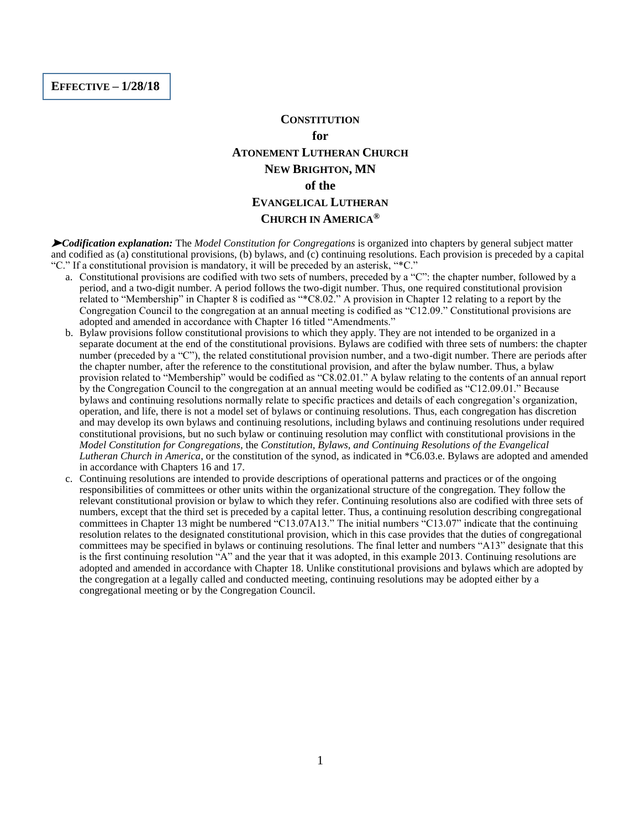**EFFECTIVE – 1/28/18**

#### **CONSTITUTION**

## **for ATONEMENT LUTHERAN CHURCH NEW BRIGHTON, MN of the EVANGELICAL LUTHERAN CHURCH IN AMERICA®**

➤ *Codification explanation:* The *Model Constitution for Congregations* is organized into chapters by general subject matter and codified as (a) constitutional provisions, (b) bylaws, and (c) continuing resolutions. Each provision is preceded by a capital "C." If a constitutional provision is mandatory, it will be preceded by an asterisk, "\*C."

- a. Constitutional provisions are codified with two sets of numbers, preceded by a "C": the chapter number, followed by a period, and a two-digit number. A period follows the two-digit number. Thus, one required constitutional provision related to "Membership" in Chapter 8 is codified as "\*C8.02." A provision in Chapter 12 relating to a report by the Congregation Council to the congregation at an annual meeting is codified as "C12.09." Constitutional provisions are adopted and amended in accordance with Chapter 16 titled "Amendments."
- b. Bylaw provisions follow constitutional provisions to which they apply. They are not intended to be organized in a separate document at the end of the constitutional provisions. Bylaws are codified with three sets of numbers: the chapter number (preceded by a "C"), the related constitutional provision number, and a two-digit number. There are periods after the chapter number, after the reference to the constitutional provision, and after the bylaw number. Thus, a bylaw provision related to "Membership" would be codified as "C8.02.01." A bylaw relating to the contents of an annual report by the Congregation Council to the congregation at an annual meeting would be codified as "C12.09.01." Because bylaws and continuing resolutions normally relate to specific practices and details of each congregation's organization, operation, and life, there is not a model set of bylaws or continuing resolutions. Thus, each congregation has discretion and may develop its own bylaws and continuing resolutions, including bylaws and continuing resolutions under required constitutional provisions, but no such bylaw or continuing resolution may conflict with constitutional provisions in the *Model Constitution for Congregations*, the *Constitution, Bylaws, and Continuing Resolutions of the Evangelical Lutheran Church in America*, or the constitution of the synod, as indicated in \*C6.03.e. Bylaws are adopted and amended in accordance with Chapters 16 and 17.
- c. Continuing resolutions are intended to provide descriptions of operational patterns and practices or of the ongoing responsibilities of committees or other units within the organizational structure of the congregation. They follow the relevant constitutional provision or bylaw to which they refer. Continuing resolutions also are codified with three sets of numbers, except that the third set is preceded by a capital letter. Thus, a continuing resolution describing congregational committees in Chapter 13 might be numbered "C13.07A13." The initial numbers "C13.07" indicate that the continuing resolution relates to the designated constitutional provision, which in this case provides that the duties of congregational committees may be specified in bylaws or continuing resolutions. The final letter and numbers "A13" designate that this is the first continuing resolution "A" and the year that it was adopted, in this example 2013. Continuing resolutions are adopted and amended in accordance with Chapter 18. Unlike constitutional provisions and bylaws which are adopted by the congregation at a legally called and conducted meeting, continuing resolutions may be adopted either by a congregational meeting or by the Congregation Council.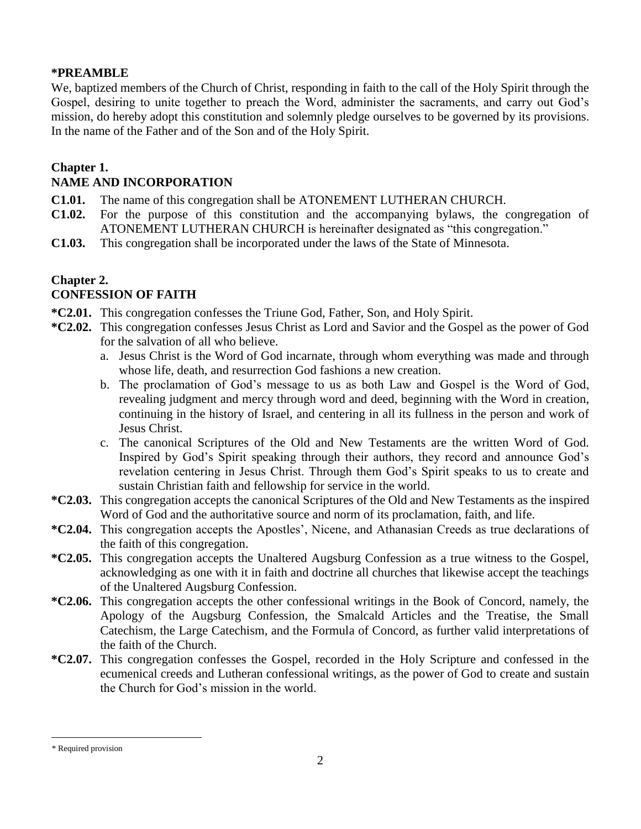#### **\*PREAMBLE**\*

We, baptized members of the Church of Christ, responding in faith to the call of the Holy Spirit through the Gospel, desiring to unite together to preach the Word, administer the sacraments, and carry out God's mission, do hereby adopt this constitution and solemnly pledge ourselves to be governed by its provisions. In the name of the Father and of the Son and of the Holy Spirit.

## **Chapter 1.**

## **NAME AND INCORPORATION**

- **C1.01.** The name of this congregation shall be ATONEMENT LUTHERAN CHURCH.
- **C1.02.** For the purpose of this constitution and the accompanying bylaws, the congregation of ATONEMENT LUTHERAN CHURCH is hereinafter designated as "this congregation."
- **C1.03.** This congregation shall be incorporated under the laws of the State of Minnesota.

## **Chapter 2.**

## **CONFESSION OF FAITH**

- **\*C2.01.** This congregation confesses the Triune God, Father, Son, and Holy Spirit.
- **\*C2.02.** This congregation confesses Jesus Christ as Lord and Savior and the Gospel as the power of God for the salvation of all who believe.
	- a. Jesus Christ is the Word of God incarnate, through whom everything was made and through whose life, death, and resurrection God fashions a new creation.
	- b. The proclamation of God's message to us as both Law and Gospel is the Word of God, revealing judgment and mercy through word and deed, beginning with the Word in creation, continuing in the history of Israel, and centering in all its fullness in the person and work of Jesus Christ.
	- c. The canonical Scriptures of the Old and New Testaments are the written Word of God. Inspired by God's Spirit speaking through their authors, they record and announce God's revelation centering in Jesus Christ. Through them God's Spirit speaks to us to create and sustain Christian faith and fellowship for service in the world.
- **\*C2.03.** This congregation accepts the canonical Scriptures of the Old and New Testaments as the inspired Word of God and the authoritative source and norm of its proclamation, faith, and life.
- **\*C2.04.** This congregation accepts the Apostles', Nicene, and Athanasian Creeds as true declarations of the faith of this congregation.
- **\*C2.05.** This congregation accepts the Unaltered Augsburg Confession as a true witness to the Gospel, acknowledging as one with it in faith and doctrine all churches that likewise accept the teachings of the Unaltered Augsburg Confession.
- **\*C2.06.** This congregation accepts the other confessional writings in the Book of Concord, namely, the Apology of the Augsburg Confession, the Smalcald Articles and the Treatise, the Small Catechism, the Large Catechism, and the Formula of Concord, as further valid interpretations of the faith of the Church.
- **\*C2.07.** This congregation confesses the Gospel, recorded in the Holy Scripture and confessed in the ecumenical creeds and Lutheran confessional writings, as the power of God to create and sustain the Church for God's mission in the world.

 $\overline{a}$ 

<sup>\*</sup> Required provision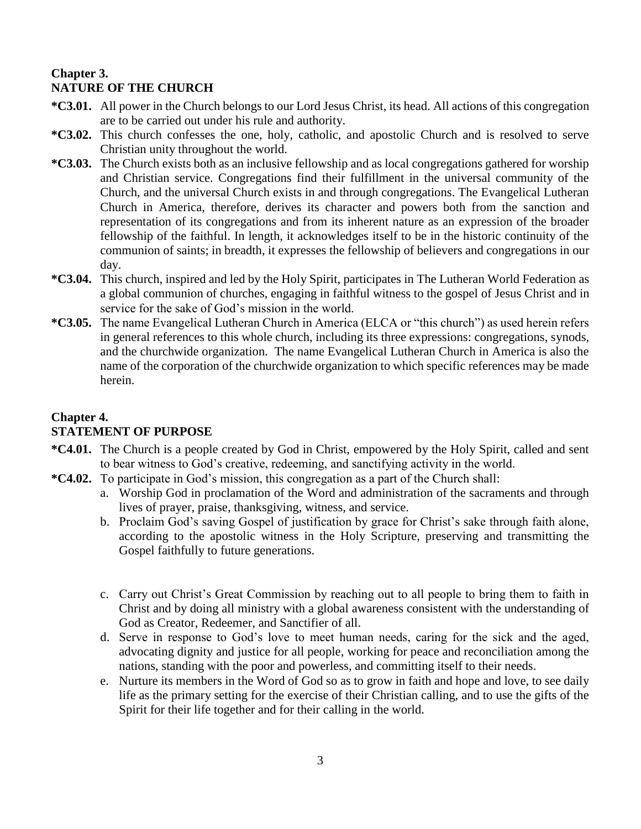## **Chapter 3. NATURE OF THE CHURCH**

- **\*C3.01.** All power in the Church belongs to our Lord Jesus Christ, its head. All actions of this congregation are to be carried out under his rule and authority.
- **\*C3.02.** This church confesses the one, holy, catholic, and apostolic Church and is resolved to serve Christian unity throughout the world.
- **\*C3.03.** The Church exists both as an inclusive fellowship and as local congregations gathered for worship and Christian service. Congregations find their fulfillment in the universal community of the Church, and the universal Church exists in and through congregations. The Evangelical Lutheran Church in America, therefore, derives its character and powers both from the sanction and representation of its congregations and from its inherent nature as an expression of the broader fellowship of the faithful. In length, it acknowledges itself to be in the historic continuity of the communion of saints; in breadth, it expresses the fellowship of believers and congregations in our day.
- **\*C3.04.** This church, inspired and led by the Holy Spirit, participates in The Lutheran World Federation as a global communion of churches, engaging in faithful witness to the gospel of Jesus Christ and in service for the sake of God's mission in the world.
- **\*C3.05.** The name Evangelical Lutheran Church in America (ELCA or "this church") as used herein refers in general references to this whole church, including its three expressions: congregations, synods, and the churchwide organization. The name Evangelical Lutheran Church in America is also the name of the corporation of the churchwide organization to which specific references may be made herein.

## **Chapter 4. STATEMENT OF PURPOSE**

- **\*C4.01.** The Church is a people created by God in Christ, empowered by the Holy Spirit, called and sent to bear witness to God's creative, redeeming, and sanctifying activity in the world.
- **\*C4.02.** To participate in God's mission, this congregation as a part of the Church shall:
	- a. Worship God in proclamation of the Word and administration of the sacraments and through lives of prayer, praise, thanksgiving, witness, and service.
	- b. Proclaim God's saving Gospel of justification by grace for Christ's sake through faith alone, according to the apostolic witness in the Holy Scripture, preserving and transmitting the Gospel faithfully to future generations.
	- c. Carry out Christ's Great Commission by reaching out to all people to bring them to faith in Christ and by doing all ministry with a global awareness consistent with the understanding of God as Creator, Redeemer, and Sanctifier of all.
	- d. Serve in response to God's love to meet human needs, caring for the sick and the aged, advocating dignity and justice for all people, working for peace and reconciliation among the nations, standing with the poor and powerless, and committing itself to their needs.
	- e. Nurture its members in the Word of God so as to grow in faith and hope and love, to see daily life as the primary setting for the exercise of their Christian calling, and to use the gifts of the Spirit for their life together and for their calling in the world.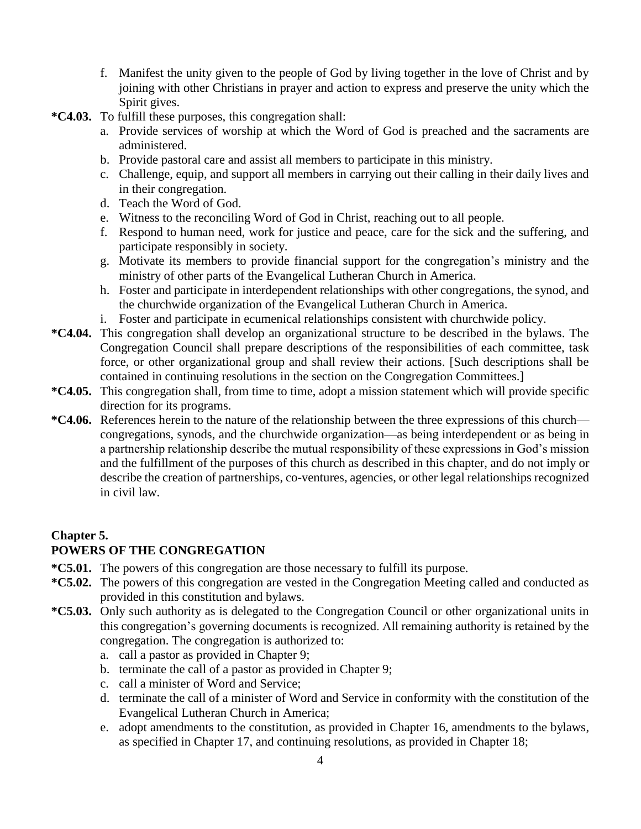- f. Manifest the unity given to the people of God by living together in the love of Christ and by joining with other Christians in prayer and action to express and preserve the unity which the Spirit gives.
- **\*C4.03.** To fulfill these purposes, this congregation shall:
	- a. Provide services of worship at which the Word of God is preached and the sacraments are administered.
	- b. Provide pastoral care and assist all members to participate in this ministry.
	- c. Challenge, equip, and support all members in carrying out their calling in their daily lives and in their congregation.
	- d. Teach the Word of God.
	- e. Witness to the reconciling Word of God in Christ, reaching out to all people.
	- f. Respond to human need, work for justice and peace, care for the sick and the suffering, and participate responsibly in society.
	- g. Motivate its members to provide financial support for the congregation's ministry and the ministry of other parts of the Evangelical Lutheran Church in America.
	- h. Foster and participate in interdependent relationships with other congregations, the synod, and the churchwide organization of the Evangelical Lutheran Church in America.
	- i. Foster and participate in ecumenical relationships consistent with churchwide policy.
- **\*C4.04.** This congregation shall develop an organizational structure to be described in the bylaws. The Congregation Council shall prepare descriptions of the responsibilities of each committee, task force, or other organizational group and shall review their actions. [Such descriptions shall be contained in continuing resolutions in the section on the Congregation Committees.]
- **\*C4.05.** This congregation shall, from time to time, adopt a mission statement which will provide specific direction for its programs.
- **\*C4.06.** References herein to the nature of the relationship between the three expressions of this church congregations, synods, and the churchwide organization—as being interdependent or as being in a partnership relationship describe the mutual responsibility of these expressions in God's mission and the fulfillment of the purposes of this church as described in this chapter, and do not imply or describe the creation of partnerships, co-ventures, agencies, or other legal relationships recognized in civil law.

# **Chapter 5.**

## **POWERS OF THE CONGREGATION**

- **\*C5.01.** The powers of this congregation are those necessary to fulfill its purpose.
- **\*C5.02.** The powers of this congregation are vested in the Congregation Meeting called and conducted as provided in this constitution and bylaws.
- **\*C5.03.** Only such authority as is delegated to the Congregation Council or other organizational units in this congregation's governing documents is recognized. All remaining authority is retained by the congregation. The congregation is authorized to:
	- a. call a pastor as provided in Chapter 9;
	- b. terminate the call of a pastor as provided in Chapter 9;
	- c. call a minister of Word and Service;
	- d. terminate the call of a minister of Word and Service in conformity with the constitution of the Evangelical Lutheran Church in America;
	- e. adopt amendments to the constitution, as provided in Chapter 16, amendments to the bylaws, as specified in Chapter 17, and continuing resolutions, as provided in Chapter 18;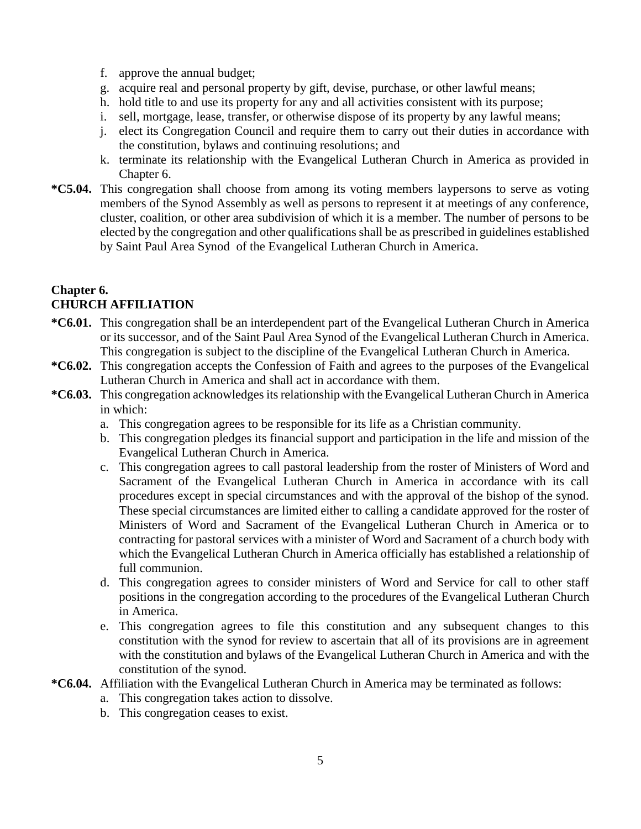- f. approve the annual budget;
- g. acquire real and personal property by gift, devise, purchase, or other lawful means;
- h. hold title to and use its property for any and all activities consistent with its purpose;
- i. sell, mortgage, lease, transfer, or otherwise dispose of its property by any lawful means;
- j. elect its Congregation Council and require them to carry out their duties in accordance with the constitution, bylaws and continuing resolutions; and
- k. terminate its relationship with the Evangelical Lutheran Church in America as provided in Chapter 6.
- **\*C5.04.** This congregation shall choose from among its voting members laypersons to serve as voting members of the Synod Assembly as well as persons to represent it at meetings of any conference, cluster, coalition, or other area subdivision of which it is a member. The number of persons to be elected by the congregation and other qualifications shall be as prescribed in guidelines established by Saint Paul Area Synod of the Evangelical Lutheran Church in America.

#### **Chapter 6. CHURCH AFFILIATION**

- **\*C6.01.** This congregation shall be an interdependent part of the Evangelical Lutheran Church in America or its successor, and of the Saint Paul Area Synod of the Evangelical Lutheran Church in America. This congregation is subject to the discipline of the Evangelical Lutheran Church in America.
- **\*C6.02.** This congregation accepts the Confession of Faith and agrees to the purposes of the Evangelical Lutheran Church in America and shall act in accordance with them.
- **\*C6.03.** This congregation acknowledges its relationship with the Evangelical Lutheran Church in America in which:
	- a. This congregation agrees to be responsible for its life as a Christian community.
	- b. This congregation pledges its financial support and participation in the life and mission of the Evangelical Lutheran Church in America.
	- c. This congregation agrees to call pastoral leadership from the roster of Ministers of Word and Sacrament of the Evangelical Lutheran Church in America in accordance with its call procedures except in special circumstances and with the approval of the bishop of the synod. These special circumstances are limited either to calling a candidate approved for the roster of Ministers of Word and Sacrament of the Evangelical Lutheran Church in America or to contracting for pastoral services with a minister of Word and Sacrament of a church body with which the Evangelical Lutheran Church in America officially has established a relationship of full communion.
	- d. This congregation agrees to consider ministers of Word and Service for call to other staff positions in the congregation according to the procedures of the Evangelical Lutheran Church in America.
	- e. This congregation agrees to file this constitution and any subsequent changes to this constitution with the synod for review to ascertain that all of its provisions are in agreement with the constitution and bylaws of the Evangelical Lutheran Church in America and with the constitution of the synod.
- **\*C6.04.** Affiliation with the Evangelical Lutheran Church in America may be terminated as follows:
	- a. This congregation takes action to dissolve.
	- b. This congregation ceases to exist.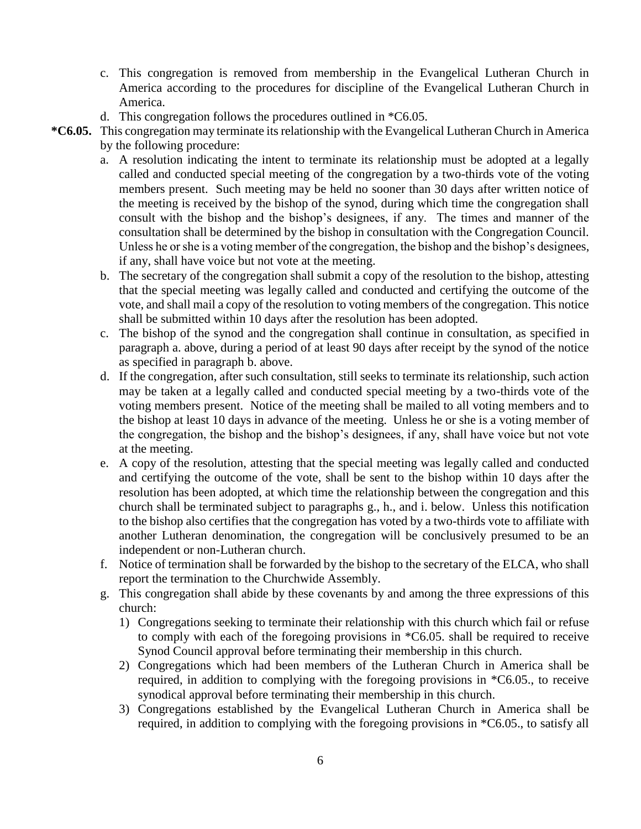- c. This congregation is removed from membership in the Evangelical Lutheran Church in America according to the procedures for discipline of the Evangelical Lutheran Church in America.
- d. This congregation follows the procedures outlined in \*C6.05.
- **\*C6.05.** This congregation may terminate its relationship with the Evangelical Lutheran Church in America by the following procedure:
	- a. A resolution indicating the intent to terminate its relationship must be adopted at a legally called and conducted special meeting of the congregation by a two-thirds vote of the voting members present. Such meeting may be held no sooner than 30 days after written notice of the meeting is received by the bishop of the synod, during which time the congregation shall consult with the bishop and the bishop's designees, if any. The times and manner of the consultation shall be determined by the bishop in consultation with the Congregation Council. Unless he or she is a voting member of the congregation, the bishop and the bishop's designees, if any, shall have voice but not vote at the meeting.
	- b. The secretary of the congregation shall submit a copy of the resolution to the bishop, attesting that the special meeting was legally called and conducted and certifying the outcome of the vote, and shall mail a copy of the resolution to voting members of the congregation. This notice shall be submitted within 10 days after the resolution has been adopted.
	- c. The bishop of the synod and the congregation shall continue in consultation, as specified in paragraph a. above, during a period of at least 90 days after receipt by the synod of the notice as specified in paragraph b. above.
	- d. If the congregation, after such consultation, still seeks to terminate its relationship, such action may be taken at a legally called and conducted special meeting by a two-thirds vote of the voting members present. Notice of the meeting shall be mailed to all voting members and to the bishop at least 10 days in advance of the meeting. Unless he or she is a voting member of the congregation, the bishop and the bishop's designees, if any, shall have voice but not vote at the meeting.
	- e. A copy of the resolution, attesting that the special meeting was legally called and conducted and certifying the outcome of the vote, shall be sent to the bishop within 10 days after the resolution has been adopted, at which time the relationship between the congregation and this church shall be terminated subject to paragraphs g., h., and i. below. Unless this notification to the bishop also certifies that the congregation has voted by a two-thirds vote to affiliate with another Lutheran denomination, the congregation will be conclusively presumed to be an independent or non-Lutheran church.
	- f. Notice of termination shall be forwarded by the bishop to the secretary of the ELCA, who shall report the termination to the Churchwide Assembly.
	- g. This congregation shall abide by these covenants by and among the three expressions of this church:
		- 1) Congregations seeking to terminate their relationship with this church which fail or refuse to comply with each of the foregoing provisions in \*C6.05. shall be required to receive Synod Council approval before terminating their membership in this church.
		- 2) Congregations which had been members of the Lutheran Church in America shall be required, in addition to complying with the foregoing provisions in \*C6.05., to receive synodical approval before terminating their membership in this church.
		- 3) Congregations established by the Evangelical Lutheran Church in America shall be required, in addition to complying with the foregoing provisions in \*C6.05., to satisfy all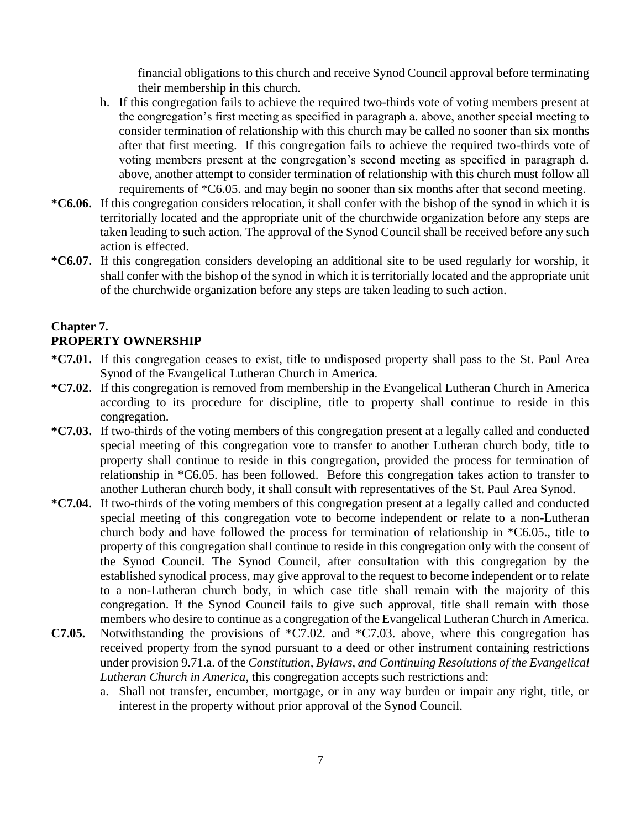financial obligations to this church and receive Synod Council approval before terminating their membership in this church.

- h. If this congregation fails to achieve the required two-thirds vote of voting members present at the congregation's first meeting as specified in paragraph a. above, another special meeting to consider termination of relationship with this church may be called no sooner than six months after that first meeting. If this congregation fails to achieve the required two-thirds vote of voting members present at the congregation's second meeting as specified in paragraph d. above, another attempt to consider termination of relationship with this church must follow all requirements of \*C6.05. and may begin no sooner than six months after that second meeting.
- **\*C6.06.** If this congregation considers relocation, it shall confer with the bishop of the synod in which it is territorially located and the appropriate unit of the churchwide organization before any steps are taken leading to such action. The approval of the Synod Council shall be received before any such action is effected.
- **\*C6.07.** If this congregation considers developing an additional site to be used regularly for worship, it shall confer with the bishop of the synod in which it is territorially located and the appropriate unit of the churchwide organization before any steps are taken leading to such action.

#### **Chapter 7. PROPERTY OWNERSHIP**

- **\*C7.01.** If this congregation ceases to exist, title to undisposed property shall pass to the St. Paul Area Synod of the Evangelical Lutheran Church in America.
- **\*C7.02.** If this congregation is removed from membership in the Evangelical Lutheran Church in America according to its procedure for discipline, title to property shall continue to reside in this congregation.
- **\*C7.03.** If two-thirds of the voting members of this congregation present at a legally called and conducted special meeting of this congregation vote to transfer to another Lutheran church body, title to property shall continue to reside in this congregation, provided the process for termination of relationship in \*C6.05. has been followed. Before this congregation takes action to transfer to another Lutheran church body, it shall consult with representatives of the St. Paul Area Synod.
- **\*C7.04.** If two-thirds of the voting members of this congregation present at a legally called and conducted special meeting of this congregation vote to become independent or relate to a non-Lutheran church body and have followed the process for termination of relationship in \*C6.05., title to property of this congregation shall continue to reside in this congregation only with the consent of the Synod Council. The Synod Council, after consultation with this congregation by the established synodical process, may give approval to the request to become independent or to relate to a non-Lutheran church body, in which case title shall remain with the majority of this congregation. If the Synod Council fails to give such approval, title shall remain with those members who desire to continue as a congregation of the Evangelical Lutheran Church in America.
- **C7.05.** Notwithstanding the provisions of \*C7.02. and \*C7.03. above, where this congregation has received property from the synod pursuant to a deed or other instrument containing restrictions under provision 9.71.a. of the *Constitution, Bylaws, and Continuing Resolutions of the Evangelical Lutheran Church in America*, this congregation accepts such restrictions and:
	- a. Shall not transfer, encumber, mortgage, or in any way burden or impair any right, title, or interest in the property without prior approval of the Synod Council.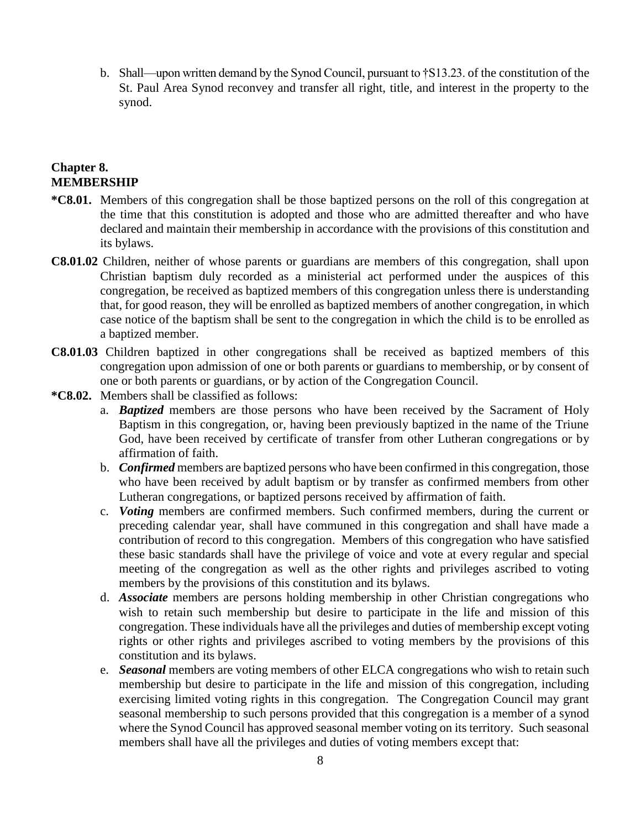b. Shall—upon written demand by the Synod Council, pursuant to †S13.23. of the constitution of the St. Paul Area Synod reconvey and transfer all right, title, and interest in the property to the synod.

#### **Chapter 8. MEMBERSHIP**

- **\*C8.01.** Members of this congregation shall be those baptized persons on the roll of this congregation at the time that this constitution is adopted and those who are admitted thereafter and who have declared and maintain their membership in accordance with the provisions of this constitution and its bylaws.
- **C8.01.02** Children, neither of whose parents or guardians are members of this congregation, shall upon Christian baptism duly recorded as a ministerial act performed under the auspices of this congregation, be received as baptized members of this congregation unless there is understanding that, for good reason, they will be enrolled as baptized members of another congregation, in which case notice of the baptism shall be sent to the congregation in which the child is to be enrolled as a baptized member.
- **C8.01.03** Children baptized in other congregations shall be received as baptized members of this congregation upon admission of one or both parents or guardians to membership, or by consent of one or both parents or guardians, or by action of the Congregation Council.
- **\*C8.02.** Members shall be classified as follows:
	- a. *Baptized* members are those persons who have been received by the Sacrament of Holy Baptism in this congregation, or, having been previously baptized in the name of the Triune God, have been received by certificate of transfer from other Lutheran congregations or by affirmation of faith.
	- b. *Confirmed* members are baptized persons who have been confirmed in this congregation, those who have been received by adult baptism or by transfer as confirmed members from other Lutheran congregations, or baptized persons received by affirmation of faith.
	- c. *Voting* members are confirmed members. Such confirmed members, during the current or preceding calendar year, shall have communed in this congregation and shall have made a contribution of record to this congregation. Members of this congregation who have satisfied these basic standards shall have the privilege of voice and vote at every regular and special meeting of the congregation as well as the other rights and privileges ascribed to voting members by the provisions of this constitution and its bylaws.
	- d. *Associate* members are persons holding membership in other Christian congregations who wish to retain such membership but desire to participate in the life and mission of this congregation. These individuals have all the privileges and duties of membership except voting rights or other rights and privileges ascribed to voting members by the provisions of this constitution and its bylaws.
	- e. *Seasonal* members are voting members of other ELCA congregations who wish to retain such membership but desire to participate in the life and mission of this congregation, including exercising limited voting rights in this congregation. The Congregation Council may grant seasonal membership to such persons provided that this congregation is a member of a synod where the Synod Council has approved seasonal member voting on its territory. Such seasonal members shall have all the privileges and duties of voting members except that: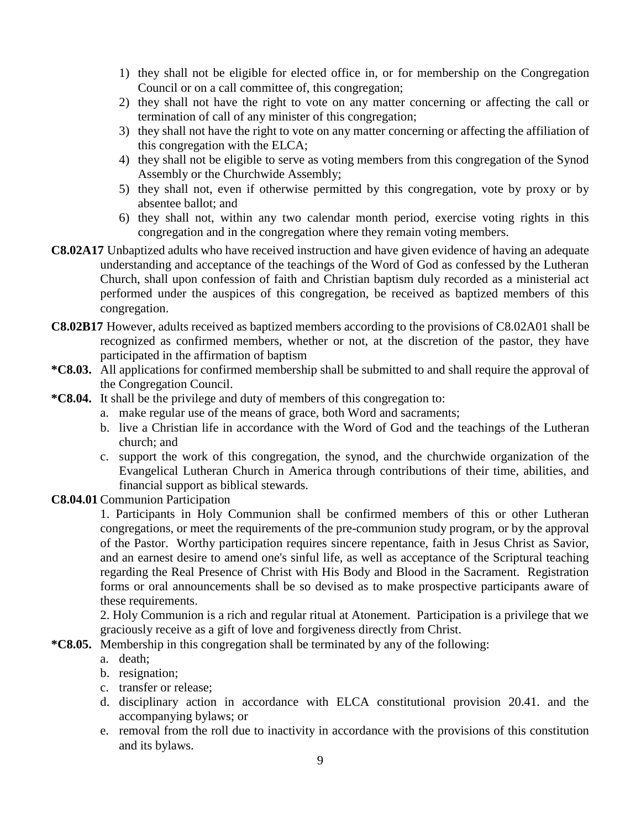- 1) they shall not be eligible for elected office in, or for membership on the Congregation Council or on a call committee of, this congregation;
- 2) they shall not have the right to vote on any matter concerning or affecting the call or termination of call of any minister of this congregation;
- 3) they shall not have the right to vote on any matter concerning or affecting the affiliation of this congregation with the ELCA;
- 4) they shall not be eligible to serve as voting members from this congregation of the Synod Assembly or the Churchwide Assembly;
- 5) they shall not, even if otherwise permitted by this congregation, vote by proxy or by absentee ballot; and
- 6) they shall not, within any two calendar month period, exercise voting rights in this congregation and in the congregation where they remain voting members.
- **C8.02A17** Unbaptized adults who have received instruction and have given evidence of having an adequate understanding and acceptance of the teachings of the Word of God as confessed by the Lutheran Church, shall upon confession of faith and Christian baptism duly recorded as a ministerial act performed under the auspices of this congregation, be received as baptized members of this congregation.
- **C8.02B17** However, adults received as baptized members according to the provisions of C8.02A01 shall be recognized as confirmed members, whether or not, at the discretion of the pastor, they have participated in the affirmation of baptism
- **\*C8.03.** All applications for confirmed membership shall be submitted to and shall require the approval of the Congregation Council.
- **\*C8.04.** It shall be the privilege and duty of members of this congregation to:
	- a. make regular use of the means of grace, both Word and sacraments;
	- b. live a Christian life in accordance with the Word of God and the teachings of the Lutheran church; and
	- c. support the work of this congregation, the synod, and the churchwide organization of the Evangelical Lutheran Church in America through contributions of their time, abilities, and financial support as biblical stewards.
- **C8.04.01** Communion Participation

1. Participants in Holy Communion shall be confirmed members of this or other Lutheran congregations, or meet the requirements of the pre-communion study program, or by the approval of the Pastor. Worthy participation requires sincere repentance, faith in Jesus Christ as Savior, and an earnest desire to amend one's sinful life, as well as acceptance of the Scriptural teaching regarding the Real Presence of Christ with His Body and Blood in the Sacrament. Registration forms or oral announcements shall be so devised as to make prospective participants aware of these requirements.

2. Holy Communion is a rich and regular ritual at Atonement. Participation is a privilege that we graciously receive as a gift of love and forgiveness directly from Christ.

- **\*C8.05.** Membership in this congregation shall be terminated by any of the following:
	- a. death;
	- b. resignation;
	- c. transfer or release;
	- d. disciplinary action in accordance with ELCA constitutional provision 20.41. and the accompanying bylaws; or
	- e. removal from the roll due to inactivity in accordance with the provisions of this constitution and its bylaws.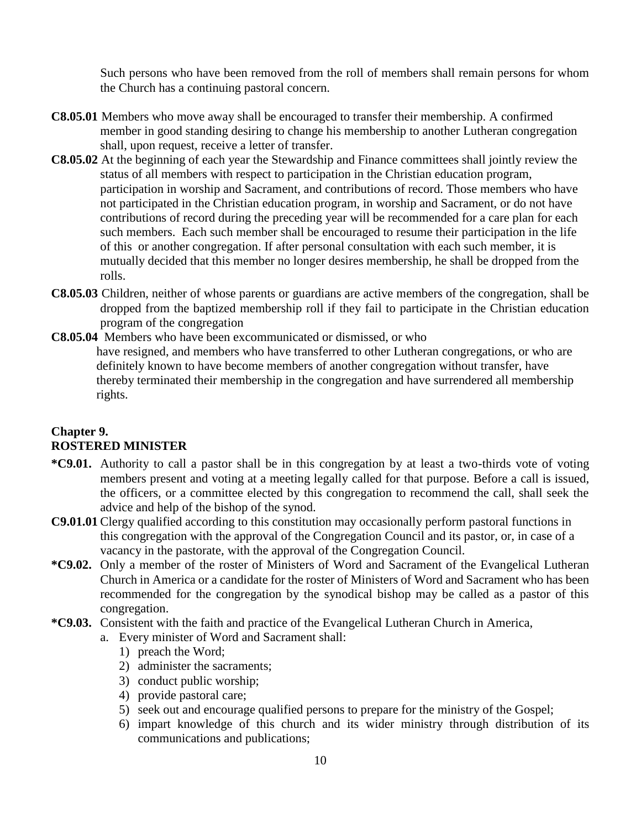Such persons who have been removed from the roll of members shall remain persons for whom the Church has a continuing pastoral concern.

- **C8.05.01** Members who move away shall be encouraged to transfer their membership. A confirmed member in good standing desiring to change his membership to another Lutheran congregation shall, upon request, receive a letter of transfer.
- **C8.05.02** At the beginning of each year the Stewardship and Finance committees shall jointly review the status of all members with respect to participation in the Christian education program, participation in worship and Sacrament, and contributions of record. Those members who have not participated in the Christian education program, in worship and Sacrament, or do not have contributions of record during the preceding year will be recommended for a care plan for each such members. Each such member shall be encouraged to resume their participation in the life of this or another congregation. If after personal consultation with each such member, it is mutually decided that this member no longer desires membership, he shall be dropped from the rolls.
- **C8.05.03** Children, neither of whose parents or guardians are active members of the congregation, shall be dropped from the baptized membership roll if they fail to participate in the Christian education program of the congregation
- **C8.05.04** Members who have been excommunicated or dismissed, or who have resigned, and members who have transferred to other Lutheran congregations, or who are definitely known to have become members of another congregation without transfer, have thereby terminated their membership in the congregation and have surrendered all membership rights.

## **Chapter 9. ROSTERED MINISTER**

- **\*C9.01.** Authority to call a pastor shall be in this congregation by at least a two-thirds vote of voting members present and voting at a meeting legally called for that purpose. Before a call is issued, the officers, or a committee elected by this congregation to recommend the call, shall seek the advice and help of the bishop of the synod.
- **C9.01.01** Clergy qualified according to this constitution may occasionally perform pastoral functions in this congregation with the approval of the Congregation Council and its pastor, or, in case of a vacancy in the pastorate, with the approval of the Congregation Council.
- **\*C9.02.** Only a member of the roster of Ministers of Word and Sacrament of the Evangelical Lutheran Church in America or a candidate for the roster of Ministers of Word and Sacrament who has been recommended for the congregation by the synodical bishop may be called as a pastor of this congregation.
- **\*C9.03.** Consistent with the faith and practice of the Evangelical Lutheran Church in America,
	- a. Every minister of Word and Sacrament shall:
		- 1) preach the Word;
		- 2) administer the sacraments;
		- 3) conduct public worship;
		- 4) provide pastoral care;
		- 5) seek out and encourage qualified persons to prepare for the ministry of the Gospel;
		- 6) impart knowledge of this church and its wider ministry through distribution of its communications and publications;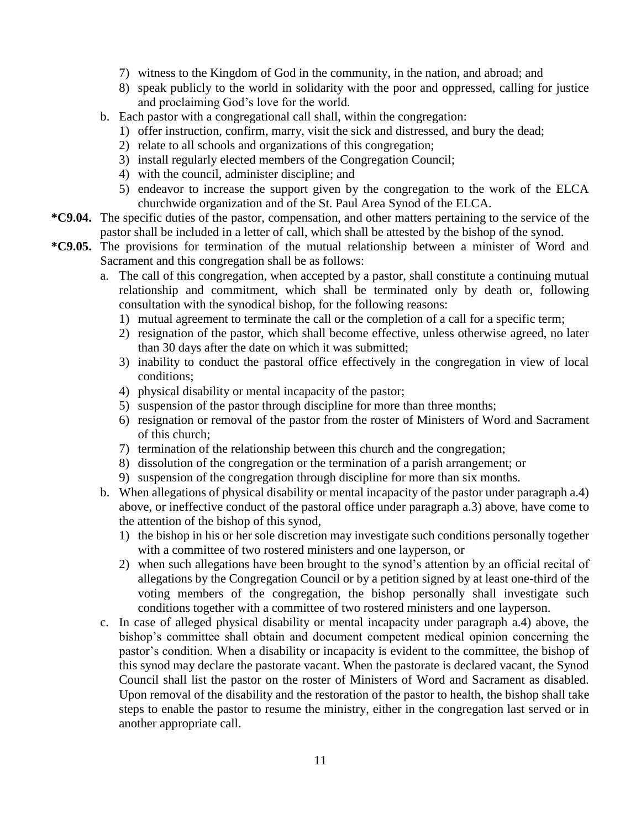- 7) witness to the Kingdom of God in the community, in the nation, and abroad; and
- 8) speak publicly to the world in solidarity with the poor and oppressed, calling for justice and proclaiming God's love for the world.
- b. Each pastor with a congregational call shall, within the congregation:
	- 1) offer instruction, confirm, marry, visit the sick and distressed, and bury the dead;
	- 2) relate to all schools and organizations of this congregation;
	- 3) install regularly elected members of the Congregation Council;
	- 4) with the council, administer discipline; and
	- 5) endeavor to increase the support given by the congregation to the work of the ELCA churchwide organization and of the St. Paul Area Synod of the ELCA.
- **\*C9.04.** The specific duties of the pastor, compensation, and other matters pertaining to the service of the pastor shall be included in a letter of call, which shall be attested by the bishop of the synod.
- **\*C9.05.** The provisions for termination of the mutual relationship between a minister of Word and Sacrament and this congregation shall be as follows:
	- a. The call of this congregation, when accepted by a pastor, shall constitute a continuing mutual relationship and commitment, which shall be terminated only by death or, following consultation with the synodical bishop, for the following reasons:
		- 1) mutual agreement to terminate the call or the completion of a call for a specific term;
		- 2) resignation of the pastor, which shall become effective, unless otherwise agreed, no later than 30 days after the date on which it was submitted;
		- 3) inability to conduct the pastoral office effectively in the congregation in view of local conditions;
		- 4) physical disability or mental incapacity of the pastor;
		- 5) suspension of the pastor through discipline for more than three months;
		- 6) resignation or removal of the pastor from the roster of Ministers of Word and Sacrament of this church;
		- 7) termination of the relationship between this church and the congregation;
		- 8) dissolution of the congregation or the termination of a parish arrangement; or
		- 9) suspension of the congregation through discipline for more than six months.
	- b. When allegations of physical disability or mental incapacity of the pastor under paragraph a.4) above, or ineffective conduct of the pastoral office under paragraph a.3) above, have come to the attention of the bishop of this synod,
		- 1) the bishop in his or her sole discretion may investigate such conditions personally together with a committee of two rostered ministers and one layperson, or
		- 2) when such allegations have been brought to the synod's attention by an official recital of allegations by the Congregation Council or by a petition signed by at least one-third of the voting members of the congregation, the bishop personally shall investigate such conditions together with a committee of two rostered ministers and one layperson.
	- c. In case of alleged physical disability or mental incapacity under paragraph a.4) above, the bishop's committee shall obtain and document competent medical opinion concerning the pastor's condition. When a disability or incapacity is evident to the committee, the bishop of this synod may declare the pastorate vacant. When the pastorate is declared vacant, the Synod Council shall list the pastor on the roster of Ministers of Word and Sacrament as disabled. Upon removal of the disability and the restoration of the pastor to health, the bishop shall take steps to enable the pastor to resume the ministry, either in the congregation last served or in another appropriate call.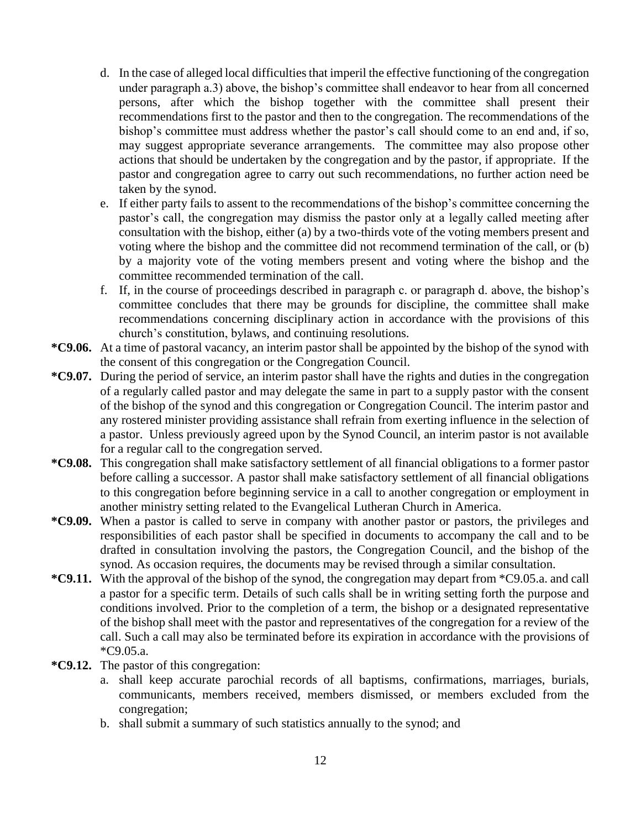- d. In the case of alleged local difficulties that imperil the effective functioning of the congregation under paragraph a.3) above, the bishop's committee shall endeavor to hear from all concerned persons, after which the bishop together with the committee shall present their recommendations first to the pastor and then to the congregation. The recommendations of the bishop's committee must address whether the pastor's call should come to an end and, if so, may suggest appropriate severance arrangements. The committee may also propose other actions that should be undertaken by the congregation and by the pastor, if appropriate. If the pastor and congregation agree to carry out such recommendations, no further action need be taken by the synod.
- e. If either party fails to assent to the recommendations of the bishop's committee concerning the pastor's call, the congregation may dismiss the pastor only at a legally called meeting after consultation with the bishop, either (a) by a two-thirds vote of the voting members present and voting where the bishop and the committee did not recommend termination of the call, or (b) by a majority vote of the voting members present and voting where the bishop and the committee recommended termination of the call.
- f. If, in the course of proceedings described in paragraph c. or paragraph d. above, the bishop's committee concludes that there may be grounds for discipline, the committee shall make recommendations concerning disciplinary action in accordance with the provisions of this church's constitution, bylaws, and continuing resolutions.
- **\*C9.06.** At a time of pastoral vacancy, an interim pastor shall be appointed by the bishop of the synod with the consent of this congregation or the Congregation Council.
- **\*C9.07.** During the period of service, an interim pastor shall have the rights and duties in the congregation of a regularly called pastor and may delegate the same in part to a supply pastor with the consent of the bishop of the synod and this congregation or Congregation Council. The interim pastor and any rostered minister providing assistance shall refrain from exerting influence in the selection of a pastor. Unless previously agreed upon by the Synod Council, an interim pastor is not available for a regular call to the congregation served.
- **\*C9.08.** This congregation shall make satisfactory settlement of all financial obligations to a former pastor before calling a successor. A pastor shall make satisfactory settlement of all financial obligations to this congregation before beginning service in a call to another congregation or employment in another ministry setting related to the Evangelical Lutheran Church in America.
- **\*C9.09.** When a pastor is called to serve in company with another pastor or pastors, the privileges and responsibilities of each pastor shall be specified in documents to accompany the call and to be drafted in consultation involving the pastors, the Congregation Council, and the bishop of the synod. As occasion requires, the documents may be revised through a similar consultation.
- **\*C9.11.** With the approval of the bishop of the synod, the congregation may depart from \*C9.05.a. and call a pastor for a specific term. Details of such calls shall be in writing setting forth the purpose and conditions involved. Prior to the completion of a term, the bishop or a designated representative of the bishop shall meet with the pastor and representatives of the congregation for a review of the call. Such a call may also be terminated before its expiration in accordance with the provisions of \*C9.05.a.
- **\*C9.12.** The pastor of this congregation:
	- a. shall keep accurate parochial records of all baptisms, confirmations, marriages, burials, communicants, members received, members dismissed, or members excluded from the congregation;
	- b. shall submit a summary of such statistics annually to the synod; and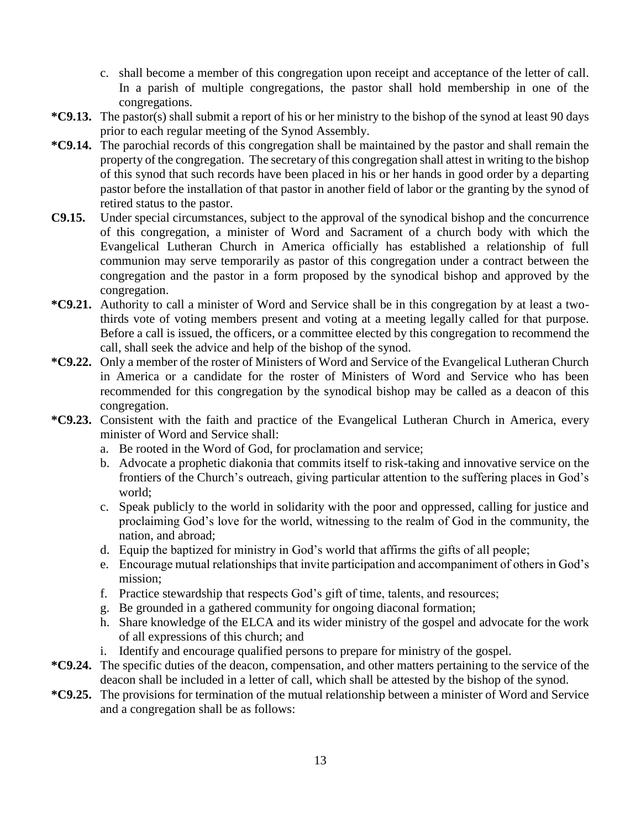- c. shall become a member of this congregation upon receipt and acceptance of the letter of call. In a parish of multiple congregations, the pastor shall hold membership in one of the congregations.
- **\*C9.13.** The pastor(s) shall submit a report of his or her ministry to the bishop of the synod at least 90 days prior to each regular meeting of the Synod Assembly.
- **\*C9.14.** The parochial records of this congregation shall be maintained by the pastor and shall remain the property of the congregation. The secretary of this congregation shall attest in writing to the bishop of this synod that such records have been placed in his or her hands in good order by a departing pastor before the installation of that pastor in another field of labor or the granting by the synod of retired status to the pastor.
- **C9.15.** Under special circumstances, subject to the approval of the synodical bishop and the concurrence of this congregation, a minister of Word and Sacrament of a church body with which the Evangelical Lutheran Church in America officially has established a relationship of full communion may serve temporarily as pastor of this congregation under a contract between the congregation and the pastor in a form proposed by the synodical bishop and approved by the congregation.
- **\*C9.21.** Authority to call a minister of Word and Service shall be in this congregation by at least a twothirds vote of voting members present and voting at a meeting legally called for that purpose. Before a call is issued, the officers, or a committee elected by this congregation to recommend the call, shall seek the advice and help of the bishop of the synod.
- **\*C9.22.** Only a member of the roster of Ministers of Word and Service of the Evangelical Lutheran Church in America or a candidate for the roster of Ministers of Word and Service who has been recommended for this congregation by the synodical bishop may be called as a deacon of this congregation.
- **\*C9.23.** Consistent with the faith and practice of the Evangelical Lutheran Church in America, every minister of Word and Service shall:
	- a. Be rooted in the Word of God, for proclamation and service;
	- b. Advocate a prophetic diakonia that commits itself to risk-taking and innovative service on the frontiers of the Church's outreach, giving particular attention to the suffering places in God's world;
	- c. Speak publicly to the world in solidarity with the poor and oppressed, calling for justice and proclaiming God's love for the world, witnessing to the realm of God in the community, the nation, and abroad;
	- d. Equip the baptized for ministry in God's world that affirms the gifts of all people;
	- e. Encourage mutual relationships that invite participation and accompaniment of others in God's mission;
	- f. Practice stewardship that respects God's gift of time, talents, and resources;
	- g. Be grounded in a gathered community for ongoing diaconal formation;
	- h. Share knowledge of the ELCA and its wider ministry of the gospel and advocate for the work of all expressions of this church; and
	- i. Identify and encourage qualified persons to prepare for ministry of the gospel.
- **\*C9.24.** The specific duties of the deacon, compensation, and other matters pertaining to the service of the deacon shall be included in a letter of call, which shall be attested by the bishop of the synod.
- **\*C9.25.** The provisions for termination of the mutual relationship between a minister of Word and Service and a congregation shall be as follows: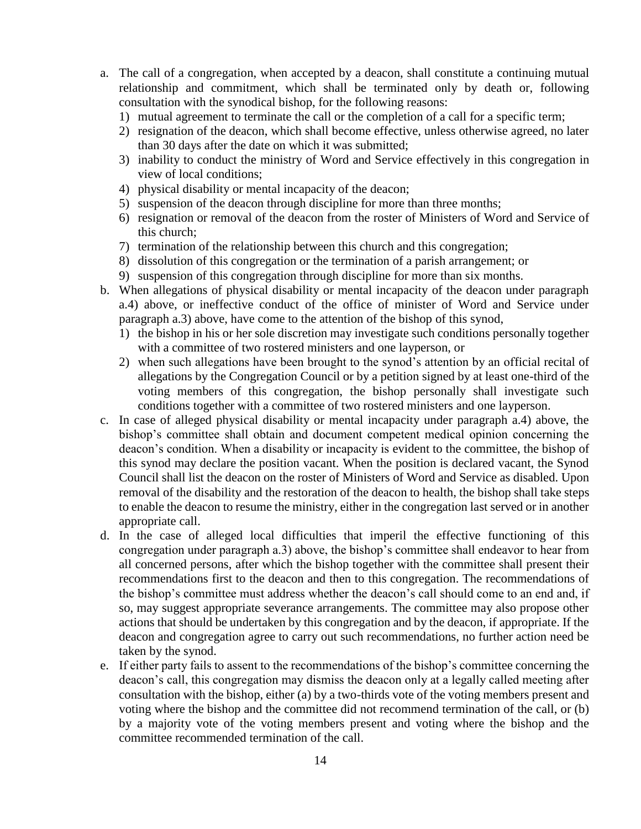- a. The call of a congregation, when accepted by a deacon, shall constitute a continuing mutual relationship and commitment, which shall be terminated only by death or, following consultation with the synodical bishop, for the following reasons:
	- 1) mutual agreement to terminate the call or the completion of a call for a specific term;
	- 2) resignation of the deacon, which shall become effective, unless otherwise agreed, no later than 30 days after the date on which it was submitted;
	- 3) inability to conduct the ministry of Word and Service effectively in this congregation in view of local conditions;
	- 4) physical disability or mental incapacity of the deacon;
	- 5) suspension of the deacon through discipline for more than three months;
	- 6) resignation or removal of the deacon from the roster of Ministers of Word and Service of this church;
	- 7) termination of the relationship between this church and this congregation;
	- 8) dissolution of this congregation or the termination of a parish arrangement; or
	- 9) suspension of this congregation through discipline for more than six months.
- b. When allegations of physical disability or mental incapacity of the deacon under paragraph a.4) above, or ineffective conduct of the office of minister of Word and Service under paragraph a.3) above, have come to the attention of the bishop of this synod,
	- 1) the bishop in his or her sole discretion may investigate such conditions personally together with a committee of two rostered ministers and one layperson, or
	- 2) when such allegations have been brought to the synod's attention by an official recital of allegations by the Congregation Council or by a petition signed by at least one-third of the voting members of this congregation, the bishop personally shall investigate such conditions together with a committee of two rostered ministers and one layperson.
- c. In case of alleged physical disability or mental incapacity under paragraph a.4) above, the bishop's committee shall obtain and document competent medical opinion concerning the deacon's condition. When a disability or incapacity is evident to the committee, the bishop of this synod may declare the position vacant. When the position is declared vacant, the Synod Council shall list the deacon on the roster of Ministers of Word and Service as disabled. Upon removal of the disability and the restoration of the deacon to health, the bishop shall take steps to enable the deacon to resume the ministry, either in the congregation last served or in another appropriate call.
- d. In the case of alleged local difficulties that imperil the effective functioning of this congregation under paragraph a.3) above, the bishop's committee shall endeavor to hear from all concerned persons, after which the bishop together with the committee shall present their recommendations first to the deacon and then to this congregation. The recommendations of the bishop's committee must address whether the deacon's call should come to an end and, if so, may suggest appropriate severance arrangements. The committee may also propose other actions that should be undertaken by this congregation and by the deacon, if appropriate. If the deacon and congregation agree to carry out such recommendations, no further action need be taken by the synod.
- e. If either party fails to assent to the recommendations of the bishop's committee concerning the deacon's call, this congregation may dismiss the deacon only at a legally called meeting after consultation with the bishop, either (a) by a two-thirds vote of the voting members present and voting where the bishop and the committee did not recommend termination of the call, or (b) by a majority vote of the voting members present and voting where the bishop and the committee recommended termination of the call.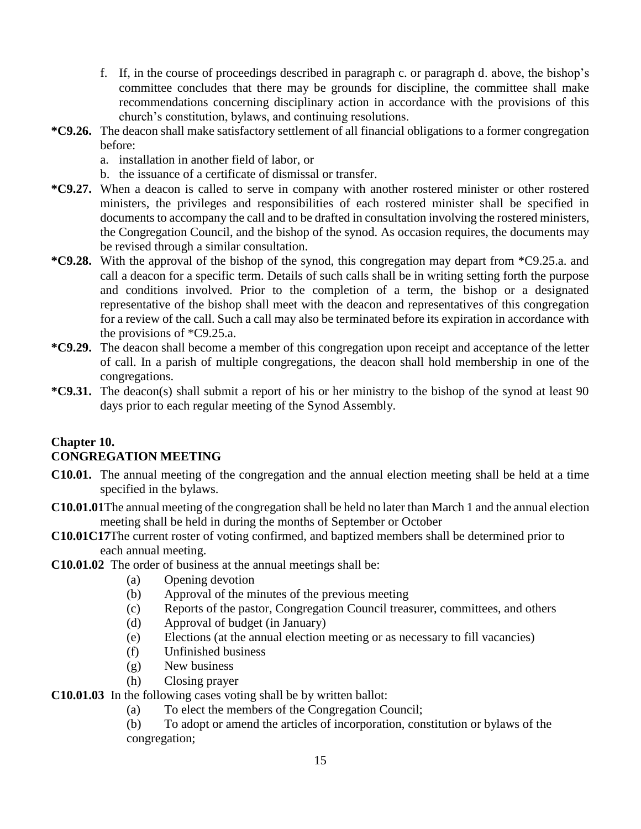- f. If, in the course of proceedings described in paragraph c. or paragraph d. above, the bishop's committee concludes that there may be grounds for discipline, the committee shall make recommendations concerning disciplinary action in accordance with the provisions of this church's constitution, bylaws, and continuing resolutions.
- **\*C9.26.** The deacon shall make satisfactory settlement of all financial obligations to a former congregation before:
	- a. installation in another field of labor, or
	- b. the issuance of a certificate of dismissal or transfer.
- **\*C9.27.** When a deacon is called to serve in company with another rostered minister or other rostered ministers, the privileges and responsibilities of each rostered minister shall be specified in documents to accompany the call and to be drafted in consultation involving the rostered ministers, the Congregation Council, and the bishop of the synod. As occasion requires, the documents may be revised through a similar consultation.
- **\*C9.28.** With the approval of the bishop of the synod, this congregation may depart from \*C9.25.a. and call a deacon for a specific term. Details of such calls shall be in writing setting forth the purpose and conditions involved. Prior to the completion of a term, the bishop or a designated representative of the bishop shall meet with the deacon and representatives of this congregation for a review of the call. Such a call may also be terminated before its expiration in accordance with the provisions of \*C9.25.a.
- **\*C9.29.** The deacon shall become a member of this congregation upon receipt and acceptance of the letter of call. In a parish of multiple congregations, the deacon shall hold membership in one of the congregations.
- **\*C9.31.** The deacon(s) shall submit a report of his or her ministry to the bishop of the synod at least 90 days prior to each regular meeting of the Synod Assembly.

#### **Chapter 10. CONGREGATION MEETING**

- **C10.01.** The annual meeting of the congregation and the annual election meeting shall be held at a time specified in the bylaws.
- **C10.01.01**The annual meeting of the congregation shall be held no later than March 1 and the annual election meeting shall be held in during the months of September or October
- **C10.01C17**The current roster of voting confirmed, and baptized members shall be determined prior to each annual meeting.
- **C10.01.02** The order of business at the annual meetings shall be:
	- (a) Opening devotion
	- (b) Approval of the minutes of the previous meeting
	- (c) Reports of the pastor, Congregation Council treasurer, committees, and others
	- (d) Approval of budget (in January)
	- (e) Elections (at the annual election meeting or as necessary to fill vacancies)
	- (f) Unfinished business
	- (g) New business
	- (h) Closing prayer
- **C10.01.03** In the following cases voting shall be by written ballot:
	- (a) To elect the members of the Congregation Council;
	- (b) To adopt or amend the articles of incorporation, constitution or bylaws of the congregation;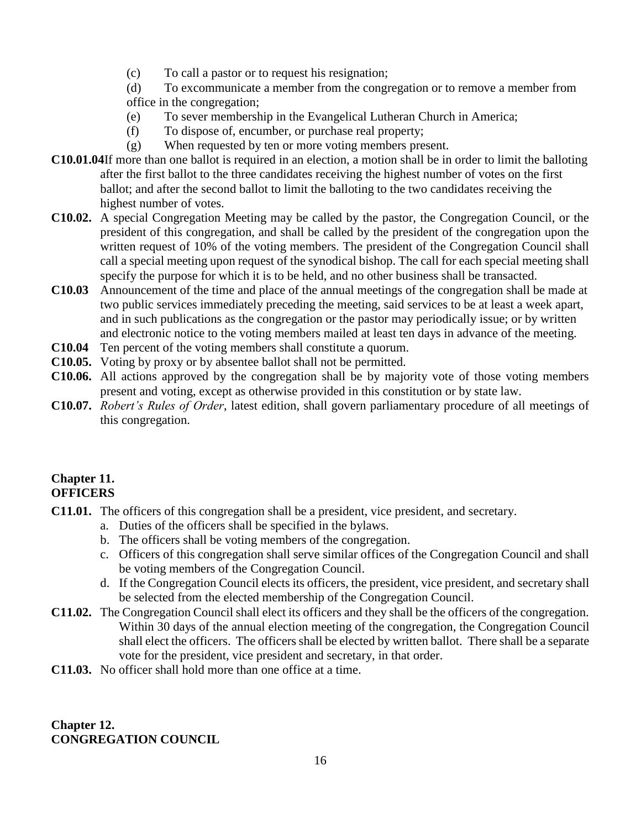(c) To call a pastor or to request his resignation;

(d) To excommunicate a member from the congregation or to remove a member from office in the congregation;

- (e) To sever membership in the Evangelical Lutheran Church in America;
- (f) To dispose of, encumber, or purchase real property;
- (g) When requested by ten or more voting members present.
- **C10.01.04**If more than one ballot is required in an election, a motion shall be in order to limit the balloting after the first ballot to the three candidates receiving the highest number of votes on the first ballot; and after the second ballot to limit the balloting to the two candidates receiving the highest number of votes.
- **C10.02.** A special Congregation Meeting may be called by the pastor, the Congregation Council, or the president of this congregation, and shall be called by the president of the congregation upon the written request of 10% of the voting members. The president of the Congregation Council shall call a special meeting upon request of the synodical bishop. The call for each special meeting shall specify the purpose for which it is to be held, and no other business shall be transacted.
- **C10.03** Announcement of the time and place of the annual meetings of the congregation shall be made at two public services immediately preceding the meeting, said services to be at least a week apart, and in such publications as the congregation or the pastor may periodically issue; or by written and electronic notice to the voting members mailed at least ten days in advance of the meeting.
- **C10.04** Ten percent of the voting members shall constitute a quorum.
- **C10.05.** Voting by proxy or by absentee ballot shall not be permitted.
- **C10.06.** All actions approved by the congregation shall be by majority vote of those voting members present and voting, except as otherwise provided in this constitution or by state law.
- **C10.07.** *Robert's Rules of Order*, latest edition, shall govern parliamentary procedure of all meetings of this congregation.

## **Chapter 11. OFFICERS**

- **C11.01.** The officers of this congregation shall be a president, vice president, and secretary.
	- a. Duties of the officers shall be specified in the bylaws.
	- b. The officers shall be voting members of the congregation.
	- c. Officers of this congregation shall serve similar offices of the Congregation Council and shall be voting members of the Congregation Council.
	- d. If the Congregation Council elects its officers, the president, vice president, and secretary shall be selected from the elected membership of the Congregation Council.
- **C11.02.** The Congregation Council shall elect its officers and they shall be the officers of the congregation. Within 30 days of the annual election meeting of the congregation, the Congregation Council shall elect the officers. The officers shall be elected by written ballot. There shall be a separate vote for the president, vice president and secretary, in that order.
- **C11.03.** No officer shall hold more than one office at a time.

**Chapter 12. CONGREGATION COUNCIL**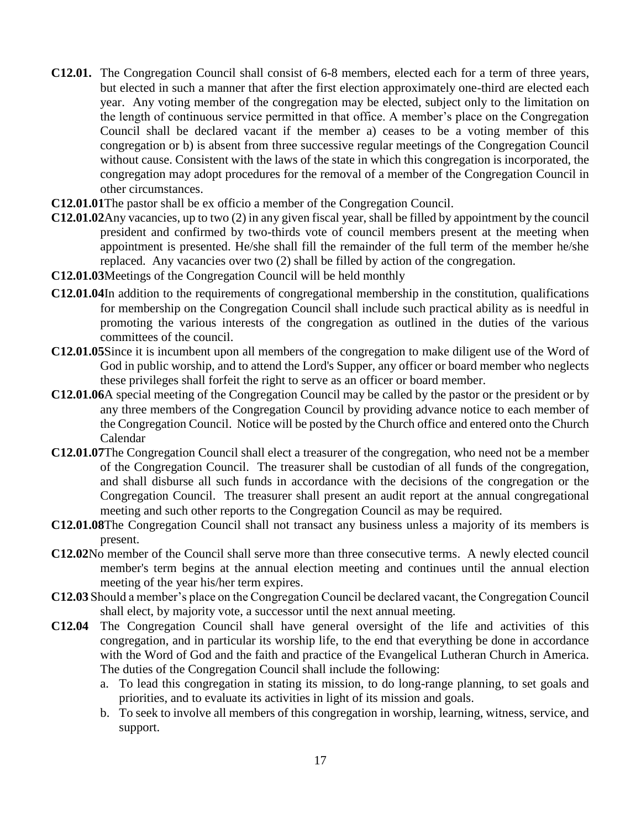- **C12.01.** The Congregation Council shall consist of 6-8 members, elected each for a term of three years, but elected in such a manner that after the first election approximately one-third are elected each year. Any voting member of the congregation may be elected, subject only to the limitation on the length of continuous service permitted in that office. A member's place on the Congregation Council shall be declared vacant if the member a) ceases to be a voting member of this congregation or b) is absent from three successive regular meetings of the Congregation Council without cause. Consistent with the laws of the state in which this congregation is incorporated, the congregation may adopt procedures for the removal of a member of the Congregation Council in other circumstances.
- **C12.01.01**The pastor shall be ex officio a member of the Congregation Council.
- **C12.01.02**Any vacancies, up to two (2) in any given fiscal year, shall be filled by appointment by the council president and confirmed by two-thirds vote of council members present at the meeting when appointment is presented. He/she shall fill the remainder of the full term of the member he/she replaced. Any vacancies over two (2) shall be filled by action of the congregation.
- **C12.01.03**Meetings of the Congregation Council will be held monthly
- **C12.01.04**In addition to the requirements of congregational membership in the constitution, qualifications for membership on the Congregation Council shall include such practical ability as is needful in promoting the various interests of the congregation as outlined in the duties of the various committees of the council.
- **C12.01.05**Since it is incumbent upon all members of the congregation to make diligent use of the Word of God in public worship, and to attend the Lord's Supper, any officer or board member who neglects these privileges shall forfeit the right to serve as an officer or board member.
- **C12.01.06**A special meeting of the Congregation Council may be called by the pastor or the president or by any three members of the Congregation Council by providing advance notice to each member of the Congregation Council. Notice will be posted by the Church office and entered onto the Church Calendar
- **C12.01.07**The Congregation Council shall elect a treasurer of the congregation, who need not be a member of the Congregation Council. The treasurer shall be custodian of all funds of the congregation, and shall disburse all such funds in accordance with the decisions of the congregation or the Congregation Council. The treasurer shall present an audit report at the annual congregational meeting and such other reports to the Congregation Council as may be required.
- **C12.01.08**The Congregation Council shall not transact any business unless a majority of its members is present.
- **C12.02**No member of the Council shall serve more than three consecutive terms. A newly elected council member's term begins at the annual election meeting and continues until the annual election meeting of the year his/her term expires.
- **C12.03** Should a member's place on the Congregation Council be declared vacant, the Congregation Council shall elect, by majority vote, a successor until the next annual meeting.
- **C12.04** The Congregation Council shall have general oversight of the life and activities of this congregation, and in particular its worship life, to the end that everything be done in accordance with the Word of God and the faith and practice of the Evangelical Lutheran Church in America. The duties of the Congregation Council shall include the following:
	- a. To lead this congregation in stating its mission, to do long-range planning, to set goals and priorities, and to evaluate its activities in light of its mission and goals.
	- b. To seek to involve all members of this congregation in worship, learning, witness, service, and support.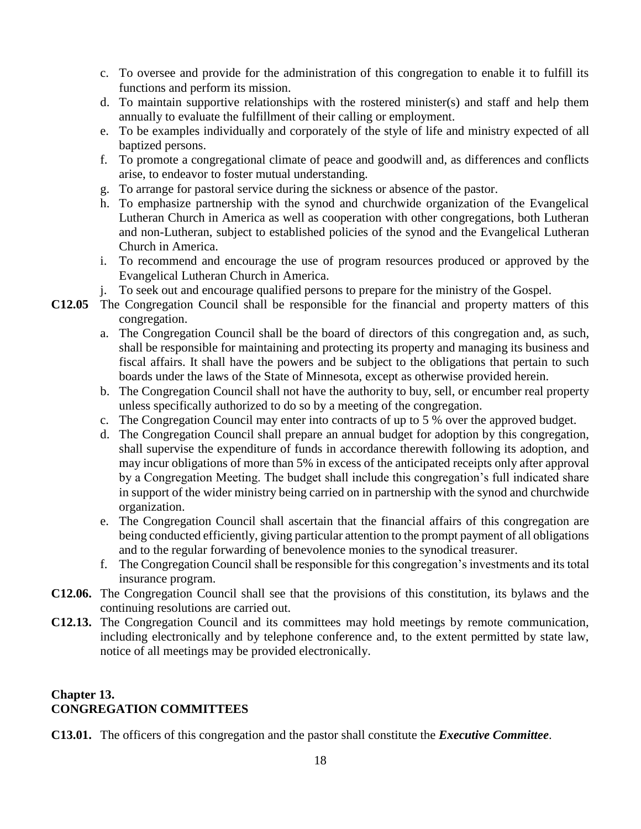- c. To oversee and provide for the administration of this congregation to enable it to fulfill its functions and perform its mission.
- d. To maintain supportive relationships with the rostered minister(s) and staff and help them annually to evaluate the fulfillment of their calling or employment.
- e. To be examples individually and corporately of the style of life and ministry expected of all baptized persons.
- f. To promote a congregational climate of peace and goodwill and, as differences and conflicts arise, to endeavor to foster mutual understanding.
- g. To arrange for pastoral service during the sickness or absence of the pastor.
- h. To emphasize partnership with the synod and churchwide organization of the Evangelical Lutheran Church in America as well as cooperation with other congregations, both Lutheran and non-Lutheran, subject to established policies of the synod and the Evangelical Lutheran Church in America.
- i. To recommend and encourage the use of program resources produced or approved by the Evangelical Lutheran Church in America.
- j. To seek out and encourage qualified persons to prepare for the ministry of the Gospel.
- **C12.05** The Congregation Council shall be responsible for the financial and property matters of this congregation.
	- a. The Congregation Council shall be the board of directors of this congregation and, as such, shall be responsible for maintaining and protecting its property and managing its business and fiscal affairs. It shall have the powers and be subject to the obligations that pertain to such boards under the laws of the State of Minnesota, except as otherwise provided herein.
	- b. The Congregation Council shall not have the authority to buy, sell, or encumber real property unless specifically authorized to do so by a meeting of the congregation.
	- c. The Congregation Council may enter into contracts of up to 5 % over the approved budget.
	- d. The Congregation Council shall prepare an annual budget for adoption by this congregation, shall supervise the expenditure of funds in accordance therewith following its adoption, and may incur obligations of more than 5% in excess of the anticipated receipts only after approval by a Congregation Meeting. The budget shall include this congregation's full indicated share in support of the wider ministry being carried on in partnership with the synod and churchwide organization.
	- e. The Congregation Council shall ascertain that the financial affairs of this congregation are being conducted efficiently, giving particular attention to the prompt payment of all obligations and to the regular forwarding of benevolence monies to the synodical treasurer.
	- f. The Congregation Council shall be responsible for this congregation's investments and its total insurance program.
- **C12.06.** The Congregation Council shall see that the provisions of this constitution, its bylaws and the continuing resolutions are carried out.
- **C12.13.** The Congregation Council and its committees may hold meetings by remote communication, including electronically and by telephone conference and, to the extent permitted by state law, notice of all meetings may be provided electronically.

#### **Chapter 13. CONGREGATION COMMITTEES**

**C13.01.** The officers of this congregation and the pastor shall constitute the *Executive Committee*.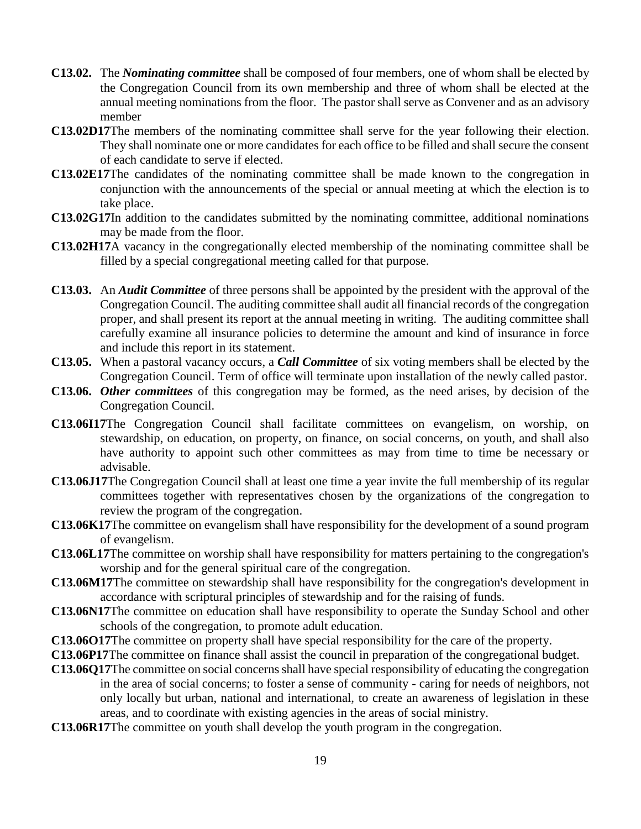- **C13.02.** The *Nominating committee* shall be composed of four members, one of whom shall be elected by the Congregation Council from its own membership and three of whom shall be elected at the annual meeting nominations from the floor. The pastor shall serve as Convener and as an advisory member
- **C13.02D17**The members of the nominating committee shall serve for the year following their election. They shall nominate one or more candidates for each office to be filled and shall secure the consent of each candidate to serve if elected.
- **C13.02E17**The candidates of the nominating committee shall be made known to the congregation in conjunction with the announcements of the special or annual meeting at which the election is to take place.
- **C13.02G17**In addition to the candidates submitted by the nominating committee, additional nominations may be made from the floor.
- **C13.02H17**A vacancy in the congregationally elected membership of the nominating committee shall be filled by a special congregational meeting called for that purpose.
- **C13.03.** An *Audit Committee* of three persons shall be appointed by the president with the approval of the Congregation Council. The auditing committee shall audit all financial records of the congregation proper, and shall present its report at the annual meeting in writing. The auditing committee shall carefully examine all insurance policies to determine the amount and kind of insurance in force and include this report in its statement.
- **C13.05.** When a pastoral vacancy occurs, a *Call Committee* of six voting members shall be elected by the Congregation Council. Term of office will terminate upon installation of the newly called pastor.
- **C13.06.** *Other committees* of this congregation may be formed, as the need arises, by decision of the Congregation Council.
- **C13.06I17**The Congregation Council shall facilitate committees on evangelism, on worship, on stewardship, on education, on property, on finance, on social concerns, on youth, and shall also have authority to appoint such other committees as may from time to time be necessary or advisable.
- **C13.06J17**The Congregation Council shall at least one time a year invite the full membership of its regular committees together with representatives chosen by the organizations of the congregation to review the program of the congregation.
- **C13.06K17**The committee on evangelism shall have responsibility for the development of a sound program of evangelism.
- **C13.06L17**The committee on worship shall have responsibility for matters pertaining to the congregation's worship and for the general spiritual care of the congregation.
- **C13.06M17**The committee on stewardship shall have responsibility for the congregation's development in accordance with scriptural principles of stewardship and for the raising of funds.
- **C13.06N17**The committee on education shall have responsibility to operate the Sunday School and other schools of the congregation, to promote adult education.
- **C13.06O17**The committee on property shall have special responsibility for the care of the property.
- **C13.06P17**The committee on finance shall assist the council in preparation of the congregational budget.
- **C13.06Q17**The committee on social concerns shall have special responsibility of educating the congregation in the area of social concerns; to foster a sense of community - caring for needs of neighbors, not only locally but urban, national and international, to create an awareness of legislation in these areas, and to coordinate with existing agencies in the areas of social ministry.
- **C13.06R17**The committee on youth shall develop the youth program in the congregation.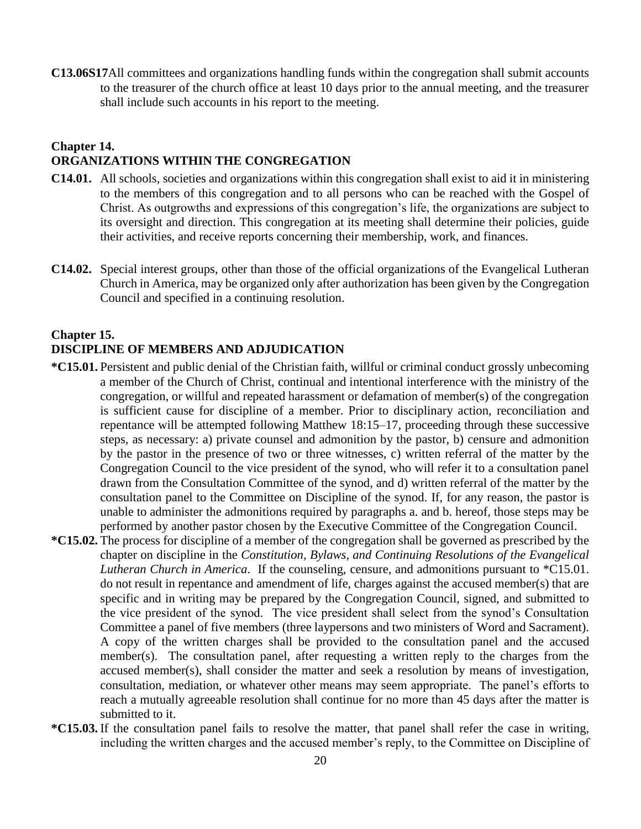**C13.06S17**All committees and organizations handling funds within the congregation shall submit accounts to the treasurer of the church office at least 10 days prior to the annual meeting, and the treasurer shall include such accounts in his report to the meeting.

#### **Chapter 14. ORGANIZATIONS WITHIN THE CONGREGATION**

- **C14.01.** All schools, societies and organizations within this congregation shall exist to aid it in ministering to the members of this congregation and to all persons who can be reached with the Gospel of Christ. As outgrowths and expressions of this congregation's life, the organizations are subject to its oversight and direction. This congregation at its meeting shall determine their policies, guide their activities, and receive reports concerning their membership, work, and finances.
- **C14.02.** Special interest groups, other than those of the official organizations of the Evangelical Lutheran Church in America, may be organized only after authorization has been given by the Congregation Council and specified in a continuing resolution.

#### **Chapter 15. DISCIPLINE OF MEMBERS AND ADJUDICATION**

- **\*C15.01.** Persistent and public denial of the Christian faith, willful or criminal conduct grossly unbecoming a member of the Church of Christ, continual and intentional interference with the ministry of the congregation, or willful and repeated harassment or defamation of member(s) of the congregation is sufficient cause for discipline of a member. Prior to disciplinary action, reconciliation and repentance will be attempted following Matthew 18:15–17, proceeding through these successive steps, as necessary: a) private counsel and admonition by the pastor, b) censure and admonition by the pastor in the presence of two or three witnesses, c) written referral of the matter by the Congregation Council to the vice president of the synod, who will refer it to a consultation panel drawn from the Consultation Committee of the synod, and d) written referral of the matter by the consultation panel to the Committee on Discipline of the synod. If, for any reason, the pastor is unable to administer the admonitions required by paragraphs a. and b. hereof, those steps may be performed by another pastor chosen by the Executive Committee of the Congregation Council.
- **\*C15.02.** The process for discipline of a member of the congregation shall be governed as prescribed by the chapter on discipline in the *Constitution, Bylaws, and Continuing Resolutions of the Evangelical Lutheran Church in America*. If the counseling, censure, and admonitions pursuant to \*C15.01. do not result in repentance and amendment of life, charges against the accused member(s) that are specific and in writing may be prepared by the Congregation Council, signed, and submitted to the vice president of the synod. The vice president shall select from the synod's Consultation Committee a panel of five members (three laypersons and two ministers of Word and Sacrament). A copy of the written charges shall be provided to the consultation panel and the accused member(s). The consultation panel, after requesting a written reply to the charges from the accused member(s), shall consider the matter and seek a resolution by means of investigation, consultation, mediation, or whatever other means may seem appropriate. The panel's efforts to reach a mutually agreeable resolution shall continue for no more than 45 days after the matter is submitted to it.
- **\*C15.03.** If the consultation panel fails to resolve the matter, that panel shall refer the case in writing, including the written charges and the accused member's reply, to the Committee on Discipline of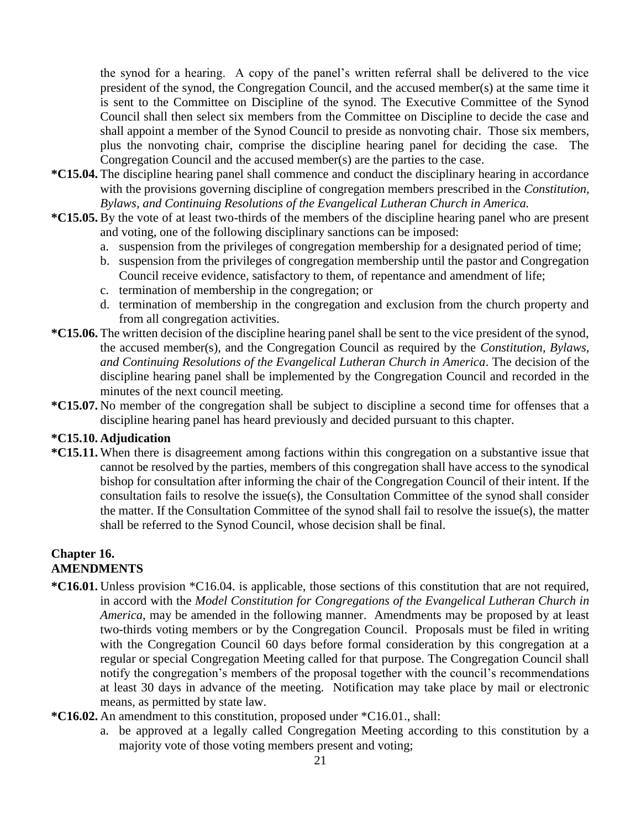the synod for a hearing. A copy of the panel's written referral shall be delivered to the vice president of the synod, the Congregation Council, and the accused member(s) at the same time it is sent to the Committee on Discipline of the synod. The Executive Committee of the Synod Council shall then select six members from the Committee on Discipline to decide the case and shall appoint a member of the Synod Council to preside as nonvoting chair. Those six members, plus the nonvoting chair, comprise the discipline hearing panel for deciding the case. The Congregation Council and the accused member(s) are the parties to the case.

- **\*C15.04.** The discipline hearing panel shall commence and conduct the disciplinary hearing in accordance with the provisions governing discipline of congregation members prescribed in the *Constitution, Bylaws, and Continuing Resolutions of the Evangelical Lutheran Church in America.*
- **\*C15.05.** By the vote of at least two-thirds of the members of the discipline hearing panel who are present and voting, one of the following disciplinary sanctions can be imposed:
	- a. suspension from the privileges of congregation membership for a designated period of time;
	- b. suspension from the privileges of congregation membership until the pastor and Congregation Council receive evidence, satisfactory to them, of repentance and amendment of life;
	- c. termination of membership in the congregation; or
	- d. termination of membership in the congregation and exclusion from the church property and from all congregation activities.
- **\*C15.06.** The written decision of the discipline hearing panel shall be sent to the vice president of the synod, the accused member(s), and the Congregation Council as required by the *Constitution, Bylaws, and Continuing Resolutions of the Evangelical Lutheran Church in America*. The decision of the discipline hearing panel shall be implemented by the Congregation Council and recorded in the minutes of the next council meeting.
- **\*C15.07.** No member of the congregation shall be subject to discipline a second time for offenses that a discipline hearing panel has heard previously and decided pursuant to this chapter.

#### **\*C15.10. Adjudication**

**\*C15.11.** When there is disagreement among factions within this congregation on a substantive issue that cannot be resolved by the parties, members of this congregation shall have access to the synodical bishop for consultation after informing the chair of the Congregation Council of their intent. If the consultation fails to resolve the issue(s), the Consultation Committee of the synod shall consider the matter. If the Consultation Committee of the synod shall fail to resolve the issue(s), the matter shall be referred to the Synod Council, whose decision shall be final.

#### **Chapter 16. AMENDMENTS**

- **\*C16.01.** Unless provision \*C16.04. is applicable, those sections of this constitution that are not required, in accord with the *Model Constitution for Congregations of the Evangelical Lutheran Church in America*, may be amended in the following manner. Amendments may be proposed by at least two-thirds voting members or by the Congregation Council. Proposals must be filed in writing with the Congregation Council 60 days before formal consideration by this congregation at a regular or special Congregation Meeting called for that purpose. The Congregation Council shall notify the congregation's members of the proposal together with the council's recommendations at least 30 days in advance of the meeting. Notification may take place by mail or electronic means, as permitted by state law.
- **\*C16.02.** An amendment to this constitution, proposed under \*C16.01., shall:
	- a. be approved at a legally called Congregation Meeting according to this constitution by a majority vote of those voting members present and voting;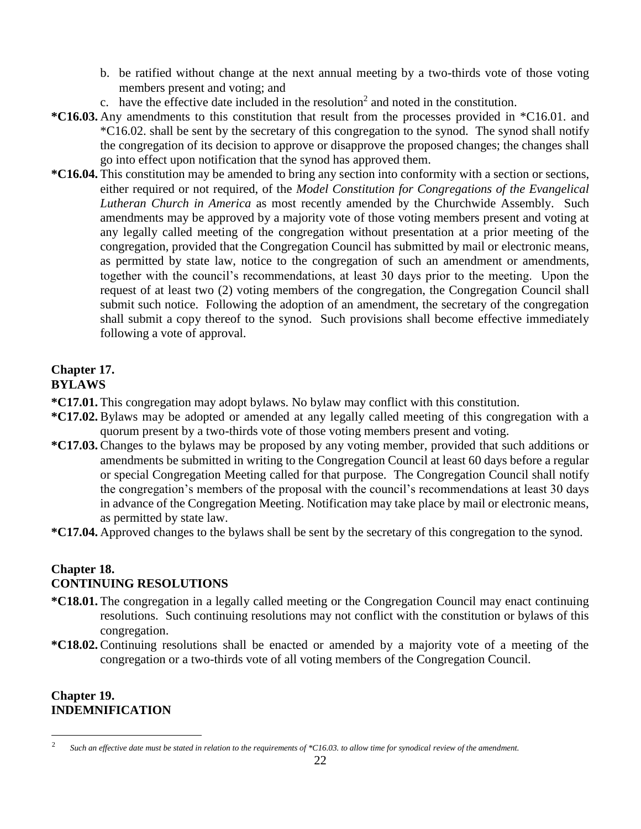- b. be ratified without change at the next annual meeting by a two-thirds vote of those voting members present and voting; and
- c. have the effective date included in the resolution<sup>2</sup> and noted in the constitution.
- **\*C16.03.** Any amendments to this constitution that result from the processes provided in \*C16.01. and \*C16.02. shall be sent by the secretary of this congregation to the synod. The synod shall notify the congregation of its decision to approve or disapprove the proposed changes; the changes shall go into effect upon notification that the synod has approved them.
- **\*C16.04.** This constitution may be amended to bring any section into conformity with a section or sections, either required or not required, of the *Model Constitution for Congregations of the Evangelical Lutheran Church in America* as most recently amended by the Churchwide Assembly. Such amendments may be approved by a majority vote of those voting members present and voting at any legally called meeting of the congregation without presentation at a prior meeting of the congregation, provided that the Congregation Council has submitted by mail or electronic means, as permitted by state law, notice to the congregation of such an amendment or amendments, together with the council's recommendations, at least 30 days prior to the meeting. Upon the request of at least two (2) voting members of the congregation, the Congregation Council shall submit such notice. Following the adoption of an amendment, the secretary of the congregation shall submit a copy thereof to the synod. Such provisions shall become effective immediately following a vote of approval.

#### **Chapter 17. BYLAWS**

- **\*C17.01.** This congregation may adopt bylaws. No bylaw may conflict with this constitution.
- **\*C17.02.** Bylaws may be adopted or amended at any legally called meeting of this congregation with a quorum present by a two-thirds vote of those voting members present and voting.
- **\*C17.03.** Changes to the bylaws may be proposed by any voting member, provided that such additions or amendments be submitted in writing to the Congregation Council at least 60 days before a regular or special Congregation Meeting called for that purpose. The Congregation Council shall notify the congregation's members of the proposal with the council's recommendations at least 30 days in advance of the Congregation Meeting. Notification may take place by mail or electronic means, as permitted by state law.
- **\*C17.04.** Approved changes to the bylaws shall be sent by the secretary of this congregation to the synod.

#### **Chapter 18. CONTINUING RESOLUTIONS**

- **\*C18.01.** The congregation in a legally called meeting or the Congregation Council may enact continuing resolutions. Such continuing resolutions may not conflict with the constitution or bylaws of this congregation.
- **\*C18.02.** Continuing resolutions shall be enacted or amended by a majority vote of a meeting of the congregation or a two-thirds vote of all voting members of the Congregation Council.

#### **Chapter 19. INDEMNIFICATION**

 $\overline{a}$ 

<sup>2</sup> *Such an effective date must be stated in relation to the requirements of \*C16.03. to allow time for synodical review of the amendment.*